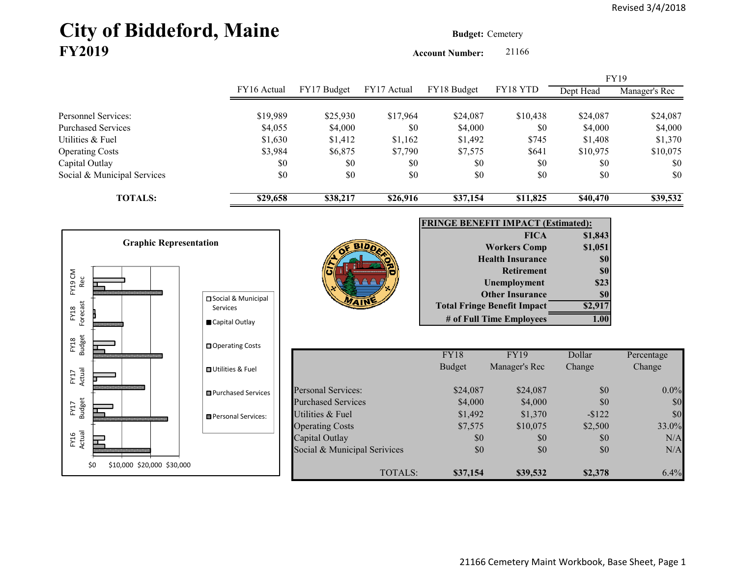# **City of Biddeford, Maine Budget:** Cemetery **FY2019**

**Account Number:** 21166

|                             |             |             |             |             |          |           | <b>FY19</b>   |
|-----------------------------|-------------|-------------|-------------|-------------|----------|-----------|---------------|
|                             | FY16 Actual | FY17 Budget | FY17 Actual | FY18 Budget | FY18 YTD | Dept Head | Manager's Rec |
|                             |             |             |             |             |          |           |               |
| Personnel Services:         | \$19,989    | \$25,930    | \$17,964    | \$24,087    | \$10,438 | \$24,087  | \$24,087      |
| Purchased Services          | \$4,055     | \$4,000     | \$0         | \$4,000     | \$0      | \$4,000   | \$4,000       |
| Utilities & Fuel            | \$1,630     | \$1,412     | \$1,162     | \$1,492     | \$745    | \$1,408   | \$1,370       |
| <b>Operating Costs</b>      | \$3,984     | \$6,875     | \$7,790     | \$7,575     | \$641    | \$10,975  | \$10,075      |
| Capital Outlay              | \$0         | \$0         | \$0         | \$0         | \$0      | \$0       | \$0           |
| Social & Municipal Services | \$0         | \$0         | \$0         | \$0         | \$0      | \$0       | \$0           |
| <b>TOTALS:</b>              | \$29,658    | \$38,217    | \$26,916    | \$37,154    | \$11,825 | \$40,470  | \$39,532      |
|                             |             |             |             |             |          |           |               |

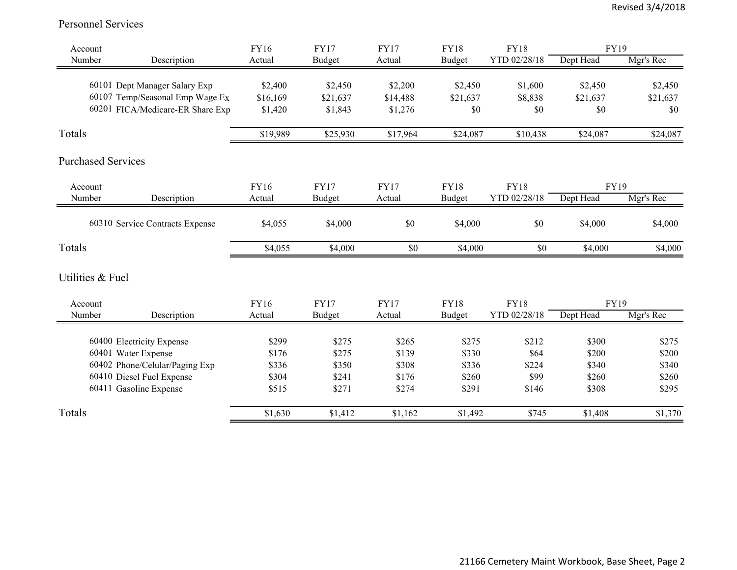#### Personnel Services

| Account                          | FY16        | <b>FY17</b>   | <b>FY17</b> | <b>FY18</b>   | <b>FY18</b>  | <b>FY19</b> |           |
|----------------------------------|-------------|---------------|-------------|---------------|--------------|-------------|-----------|
| Number<br>Description            | Actual      | Budget        | Actual      | Budget        | YTD 02/28/18 | Dept Head   | Mgr's Rec |
| 60101 Dept Manager Salary Exp    | \$2,400     | \$2,450       | \$2,200     | \$2,450       | \$1,600      | \$2,450     | \$2,450   |
| 60107 Temp/Seasonal Emp Wage Ex  | \$16,169    | \$21,637      | \$14,488    | \$21,637      | \$8,838      | \$21,637    | \$21,637  |
| 60201 FICA/Medicare-ER Share Exp | \$1,420     | \$1,843       | \$1,276     | \$0           | \$0          | \$0         | \$0       |
| Totals                           | \$19,989    | \$25,930      | \$17,964    | \$24,087      | \$10,438     | \$24,087    | \$24,087  |
| <b>Purchased Services</b>        |             |               |             |               |              |             |           |
| Account                          | <b>FY16</b> | <b>FY17</b>   | <b>FY17</b> | <b>FY18</b>   | <b>FY18</b>  | FY19        |           |
| Number<br>Description            | Actual      | Budget        | Actual      | Budget        | YTD 02/28/18 | Dept Head   | Mgr's Rec |
| 60310 Service Contracts Expense  | \$4,055     | \$4,000       | \$0         | \$4,000       | \$0          | \$4,000     | \$4,000   |
| Totals                           | \$4,055     | \$4,000       | \$0         | \$4,000       | \$0          | \$4,000     | \$4,000   |
| Utilities & Fuel                 |             |               |             |               |              |             |           |
| Account                          | <b>FY16</b> | <b>FY17</b>   | <b>FY17</b> | <b>FY18</b>   | <b>FY18</b>  | <b>FY19</b> |           |
| Number<br>Description            | Actual      | <b>Budget</b> | Actual      | <b>Budget</b> | YTD 02/28/18 | Dept Head   | Mgr's Rec |
| 60400 Electricity Expense        | \$299       | \$275         | \$265       | \$275         | \$212        | \$300       | \$275     |
| 60401 Water Expense              | \$176       | \$275         | \$139       | \$330         | \$64         | \$200       | \$200     |
| 60402 Phone/Celular/Paging Exp   | \$336       | \$350         | \$308       | \$336         | \$224        | \$340       | \$340     |
| 60410 Diesel Fuel Expense        | \$304       | \$241         | \$176       | \$260         | \$99         | \$260       | \$260     |
| 60411 Gasoline Expense           | \$515       | \$271         | \$274       | \$291         | \$146        | \$308       | \$295     |
| Totals                           | \$1,630     | \$1,412       | \$1,162     | \$1,492       | \$745        | \$1,408     | \$1,370   |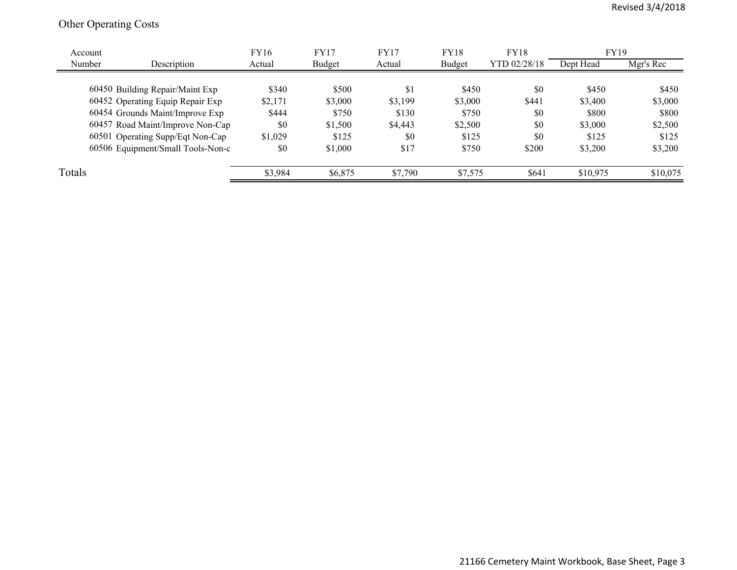## Other Operating Costs

| Account |                                   | <b>FY16</b> | <b>FY17</b> | <b>FY17</b> | <b>FY18</b> | FY18         | <b>FY19</b> |           |
|---------|-----------------------------------|-------------|-------------|-------------|-------------|--------------|-------------|-----------|
| Number  | Description                       | Actual      | Budget      | Actual      | Budget      | YTD 02/28/18 | Dept Head   | Mgr's Rec |
|         |                                   |             |             |             |             |              |             |           |
|         | 60450 Building Repair/Maint Exp   | \$340       | \$500       | \$1         | \$450       | \$0          | \$450       | \$450     |
|         | 60452 Operating Equip Repair Exp  | \$2,171     | \$3,000     | \$3,199     | \$3,000     | \$441        | \$3,400     | \$3,000   |
|         | 60454 Grounds Maint/Improve Exp   | \$444       | \$750       | \$130       | \$750       | \$0          | \$800       | \$800     |
|         | 60457 Road Maint/Improve Non-Cap  | \$0         | \$1,500     | \$4,443     | \$2,500     | \$0          | \$3,000     | \$2,500   |
|         | 60501 Operating Supp/Eqt Non-Cap  | \$1,029     | \$125       | \$0         | \$125       | \$0          | \$125       | \$125     |
|         | 60506 Equipment/Small Tools-Non-c | \$0         | \$1,000     | \$17        | \$750       | \$200        | \$3,200     | \$3,200   |
| Totals  |                                   | \$3,984     | \$6,875     | \$7,790     | \$7,575     | \$641        | \$10,975    | \$10,075  |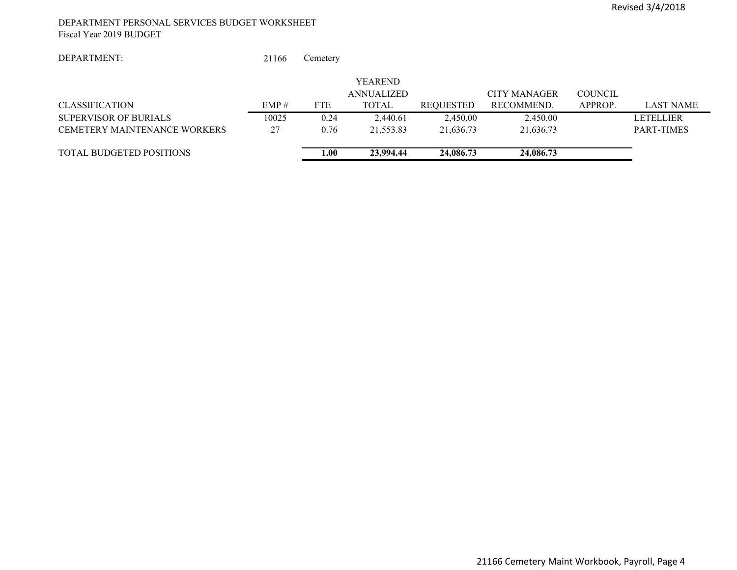#### DEPARTMENT PERSONAL SERVICES BUDGET WORKSHEET Fiscal Year 2019 BUDGET

#### DEPARTMENT:

 21166Cemetery

|                                     |       |            | <b>YEAREND</b> |                  |              |                |                  |
|-------------------------------------|-------|------------|----------------|------------------|--------------|----------------|------------------|
|                                     |       |            | ANNUALIZED     |                  | CITY MANAGER | <b>COUNCIL</b> |                  |
| <b>CLASSIFICATION</b>               | EMP#  | <b>FTE</b> | <b>TOTAL</b>   | <b>REOUESTED</b> | RECOMMEND.   | APPROP.        | <b>LAST NAME</b> |
| SUPERVISOR OF BURIALS               | 10025 | 0.24       | 2,440.61       | 2.450.00         | 2.450.00     |                | <b>LETELLIER</b> |
| <b>CEMETERY MAINTENANCE WORKERS</b> |       | 0.76       | 21,553.83      | 21,636.73        | 21,636.73    |                | PART-TIMES       |
| <b>TOTAL BUDGETED POSITIONS</b>     |       | 1.00       | 23,994.44      | 24,086.73        | 24,086.73    |                |                  |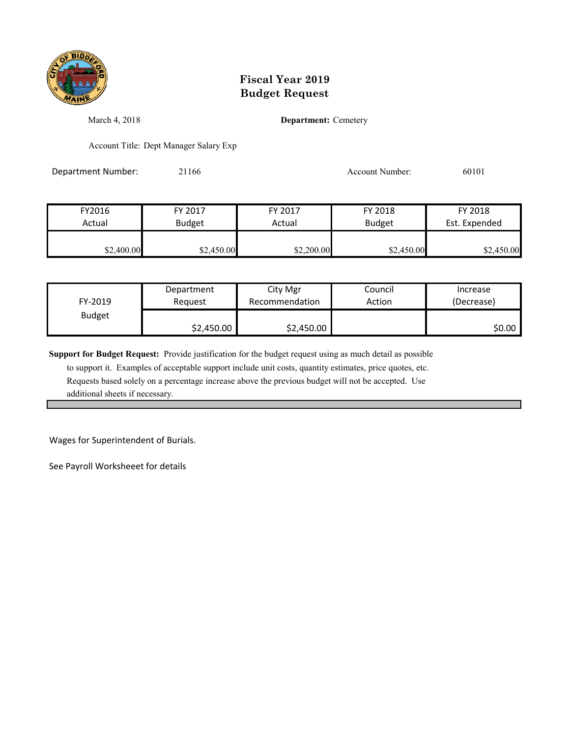

March 4, 2018 **Department:** Cemetery

Account Title: Dept Manager Salary Exp

Department Number: 21166 21166 Account Number: 60101

| FY2016     | FY 2017       | FY 2017    | FY 2018       | FY 2018       |
|------------|---------------|------------|---------------|---------------|
| Actual     | <b>Budget</b> | Actual     | <b>Budget</b> | Est. Expended |
| \$2,400.00 | \$2,450.00    | \$2,200.00 | \$2,450.00    | \$2,450.00    |

| FY-2019       | Department | City Mgr       | Council | Increase   |
|---------------|------------|----------------|---------|------------|
|               | Reauest    | Recommendation | Action  | (Decrease) |
| <b>Budget</b> | \$2,450.00 | \$2,450.00     |         | SO.OO I    |

**Support for Budget Request:** Provide justification for the budget request using as much detail as possible

 to support it. Examples of acceptable support include unit costs, quantity estimates, price quotes, etc. Requests based solely on a percentage increase above the previous budget will not be accepted. Use additional sheets if necessary.

Wages for Superintendent of Burials.

See Payroll Worksheeet for details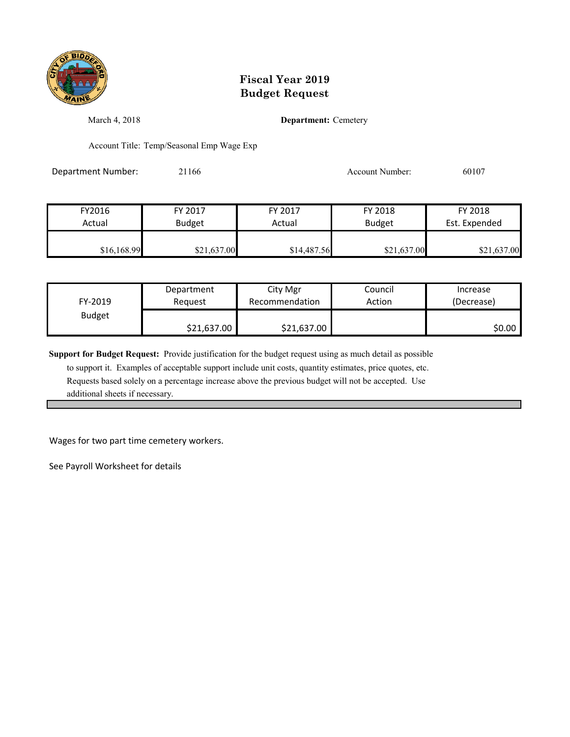

March 4, 2018 **Department:** Cemetery

Account Title: Temp/Seasonal Emp Wage Exp

Department Number: 21166 21166 Account Number: 60107

| FY2016      | FY 2017       | FY 2017     | FY 2018       | FY 2018       |
|-------------|---------------|-------------|---------------|---------------|
| Actual      | <b>Budget</b> | Actual      | <b>Budget</b> | Est. Expended |
|             |               |             |               |               |
| \$16,168.99 | \$21,637.00   | \$14,487.56 | \$21,637.00   | \$21,637.00   |

| FY-2019       | Department  | City Mgr       | Council | Increase   |
|---------------|-------------|----------------|---------|------------|
|               | Reauest     | Recommendation | Action  | (Decrease) |
| <b>Budget</b> | \$21,637.00 | \$21,637.00    |         | \$0.00 l   |

**Support for Budget Request:** Provide justification for the budget request using as much detail as possible

 to support it. Examples of acceptable support include unit costs, quantity estimates, price quotes, etc. Requests based solely on a percentage increase above the previous budget will not be accepted. Use additional sheets if necessary.

Wages for two part time cemetery workers.

See Payroll Worksheet for details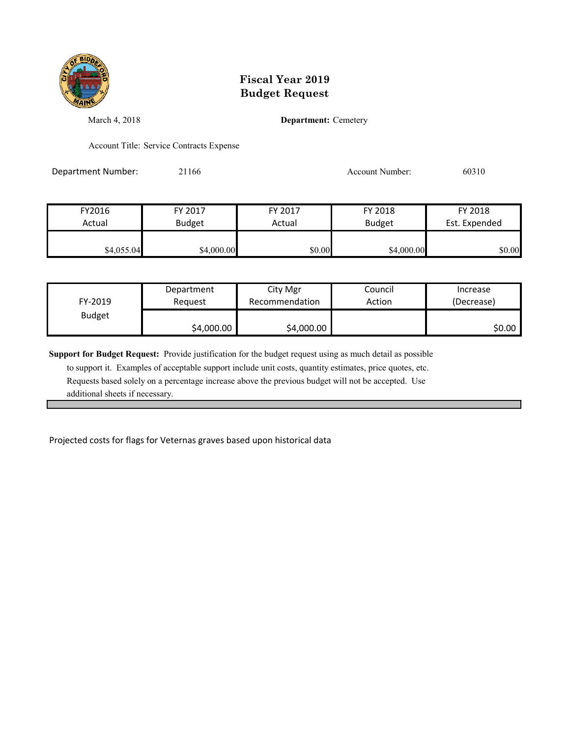

March 4, 2018 **Department:** Cemetery

Account Title: Service Contracts Expense

Department Number: 21166 21166 Account Number: 60310

| FY2016     | FY 2017       | FY 2017 | FY 2018       | FY 2018       |
|------------|---------------|---------|---------------|---------------|
| Actual     | <b>Budget</b> | Actual  | <b>Budget</b> | Est. Expended |
|            |               |         |               |               |
| \$4,055.04 | \$4,000.00    | \$0.00  | \$4,000.00    | \$0.00        |

| FY-2019       | Department | City Mgr       | Council | Increase   |
|---------------|------------|----------------|---------|------------|
|               | Reauest    | Recommendation | Action  | (Decrease) |
| <b>Budget</b> | \$4,000.00 | \$4,000.00     |         | SO.OO I    |

**Support for Budget Request:** Provide justification for the budget request using as much detail as possible

 to support it. Examples of acceptable support include unit costs, quantity estimates, price quotes, etc. Requests based solely on a percentage increase above the previous budget will not be accepted. Use additional sheets if necessary.

Projected costs for flags for Veternas graves based upon historical data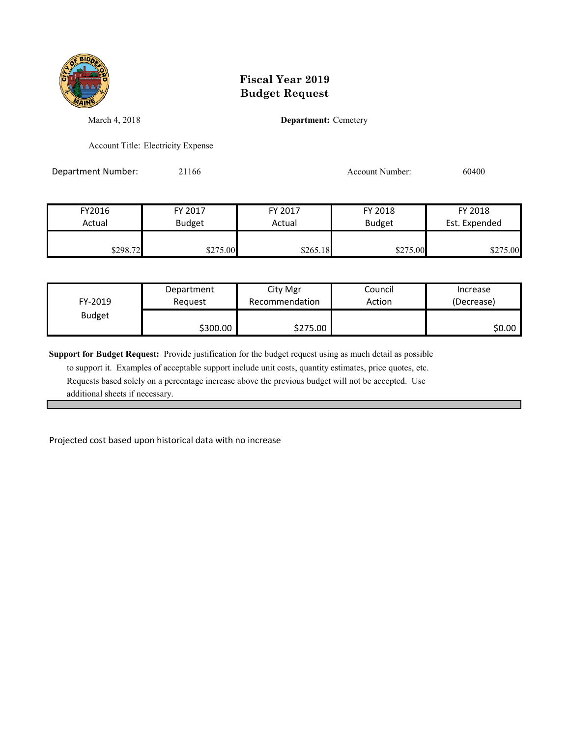

March 4, 2018 **Department:** Cemetery

Account Title: Electricity Expense

Department Number: 21166 21166 Account Number: 60400

| FY2016   | FY 2017       | FY 2017  | FY 2018       | FY 2018       |
|----------|---------------|----------|---------------|---------------|
| Actual   | <b>Budget</b> | Actual   | <b>Budget</b> | Est. Expended |
| \$298.72 | \$275.00      | \$265.18 | \$275.00      | \$275.00      |

| FY-2019       | Department | City Mgr       | Council | Increase   |
|---------------|------------|----------------|---------|------------|
|               | Reauest    | Recommendation | Action  | (Decrease) |
| <b>Budget</b> | \$300.00   | \$275.00       |         | \$0.00∣    |

**Support for Budget Request:** Provide justification for the budget request using as much detail as possible

 to support it. Examples of acceptable support include unit costs, quantity estimates, price quotes, etc. Requests based solely on a percentage increase above the previous budget will not be accepted. Use additional sheets if necessary.

Projected cost based upon historical data with no increase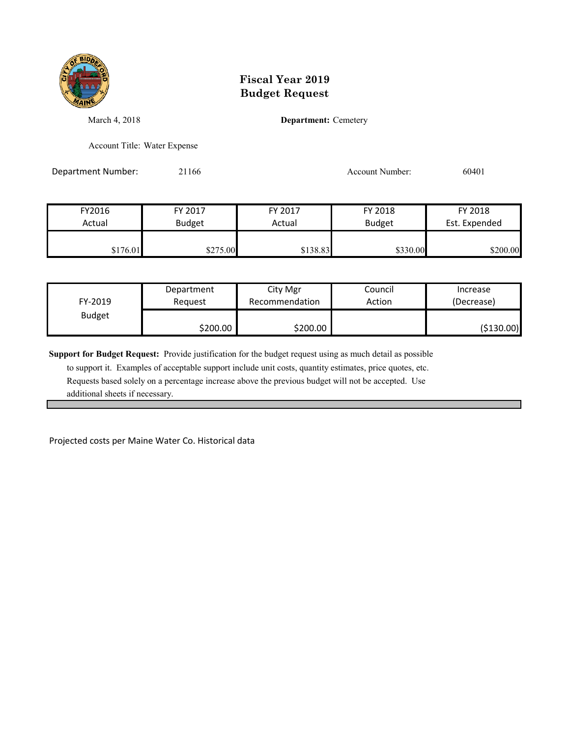

March 4, 2018 **Department:** Cemetery

Account Title: Water Expense

Department Number: 21166 2010 2016 Account Number: 60401

| FY2016   | FY 2017       | FY 2017  | FY 2018       | FY 2018       |
|----------|---------------|----------|---------------|---------------|
| Actual   | <b>Budget</b> | Actual   | <b>Budget</b> | Est. Expended |
| \$176.01 | \$275.00      | \$138.83 | \$330.00      | \$200.00      |

| FY-2019       | Department | City Mgr       | Council | Increase   |
|---------------|------------|----------------|---------|------------|
|               | Reauest    | Recommendation | Action  | (Decrease) |
| <b>Budget</b> | \$200.00   | \$200.00       |         | (\$130.00) |

**Support for Budget Request:** Provide justification for the budget request using as much detail as possible

 to support it. Examples of acceptable support include unit costs, quantity estimates, price quotes, etc. Requests based solely on a percentage increase above the previous budget will not be accepted. Use additional sheets if necessary.

Projected costs per Maine Water Co. Historical data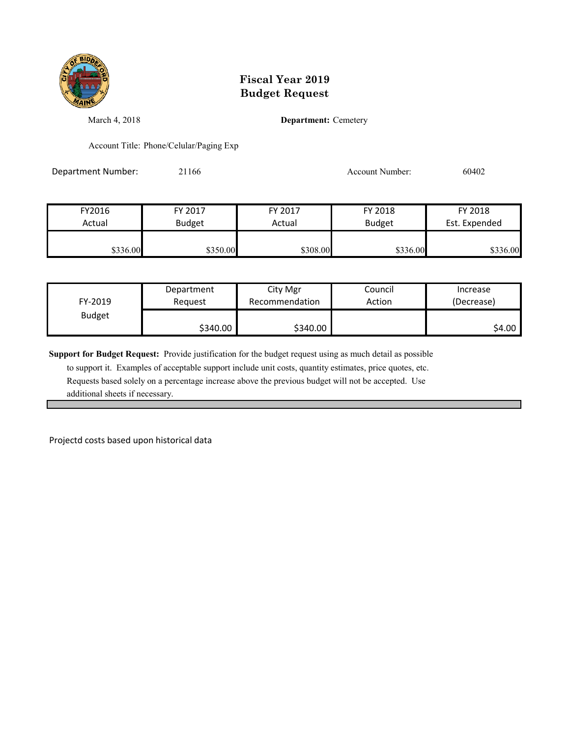

March 4, 2018 **Department:** Cemetery

Account Title: Phone/Celular/Paging Exp

Department Number: 21166 2010 2010 Account Number: 60402

| FY2016   | FY 2017       | FY 2017  | FY 2018       | FY 2018       |
|----------|---------------|----------|---------------|---------------|
| Actual   | <b>Budget</b> | Actual   | <b>Budget</b> | Est. Expended |
|          |               |          |               |               |
| \$336.00 | \$350.00      | \$308.00 | \$336.00      | \$336.00      |

| FY-2019       | Department | City Mgr       | Council | Increase   |
|---------------|------------|----------------|---------|------------|
|               | Reauest    | Recommendation | Action  | (Decrease) |
| <b>Budget</b> | \$340.00   | \$340.00       |         | \$4.00 l   |

**Support for Budget Request:** Provide justification for the budget request using as much detail as possible

 to support it. Examples of acceptable support include unit costs, quantity estimates, price quotes, etc. Requests based solely on a percentage increase above the previous budget will not be accepted. Use additional sheets if necessary.

Projectd costs based upon historical data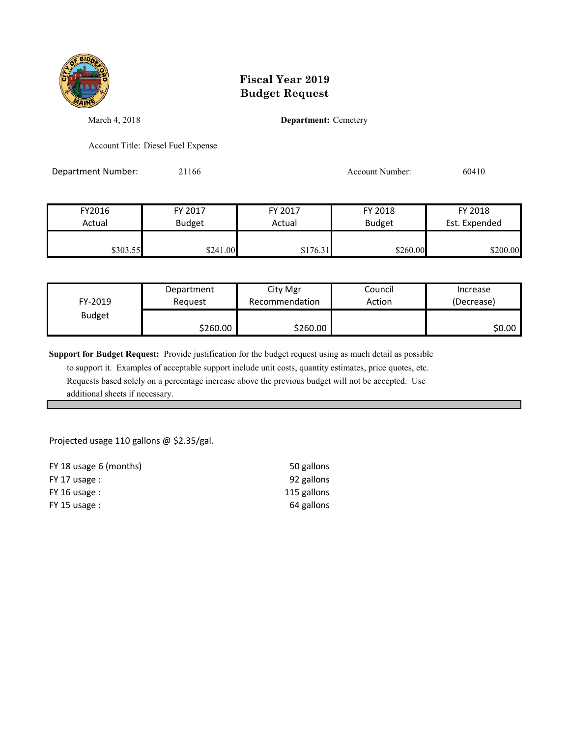

March 4, 2018 **Department:** Cemetery

Account Title: Diesel Fuel Expense

Department Number: 21166 21166 Account Number: 60410

| FY2016   | FY 2017       | FY 2017  | FY 2018       | FY 2018       |
|----------|---------------|----------|---------------|---------------|
| Actual   | <b>Budget</b> | Actual   | <b>Budget</b> | Est. Expended |
| \$303.55 | \$241.00      | \$176.31 | \$260.00      | \$200.00      |

| FY-2019       | Department | City Mgr       | Council | Increase   |
|---------------|------------|----------------|---------|------------|
|               | Reguest    | Recommendation | Action  | (Decrease) |
| <b>Budget</b> | \$260.00   | \$260.00       |         | \$0.00 l   |

**Support for Budget Request:** Provide justification for the budget request using as much detail as possible

 to support it. Examples of acceptable support include unit costs, quantity estimates, price quotes, etc. Requests based solely on a percentage increase above the previous budget will not be accepted. Use additional sheets if necessary.

Projected usage 110 gallons @ \$2.35/gal.

| FY 18 usage 6 (months) | 50 gallons  |
|------------------------|-------------|
| $FY$ 17 usage :        | 92 gallons  |
| $FY$ 16 usage :        | 115 gallons |
| $FY$ 15 usage :        | 64 gallons  |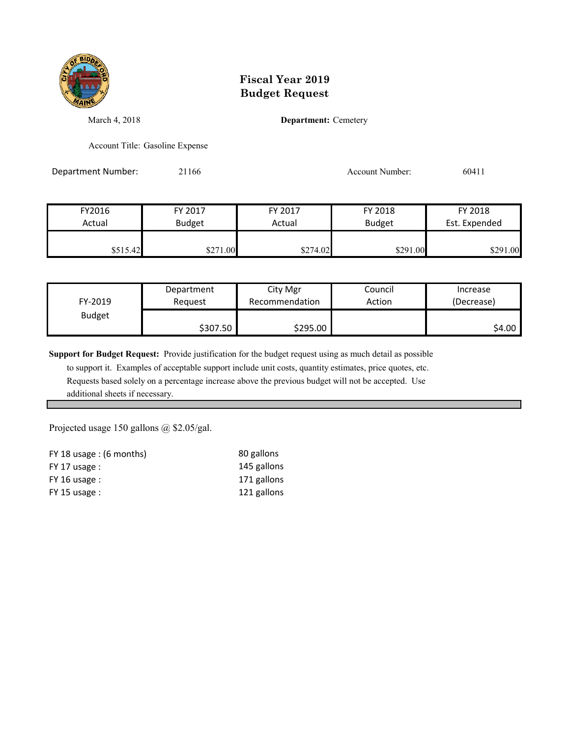

March 4, 2018 **Department:** Cemetery

Account Title: Gasoline Expense

Department Number: 21166 21166 Account Number: 60411

| FY2016   | FY 2017       | FY 2017  | FY 2018       | FY 2018       |
|----------|---------------|----------|---------------|---------------|
| Actual   | <b>Budget</b> | Actual   | <b>Budget</b> | Est. Expended |
| \$515.42 | \$271.00      | \$274.02 | \$291.00      | \$291.00      |

| FY-2019       | Department | City Mgr       | Council | Increase   |
|---------------|------------|----------------|---------|------------|
|               | Reauest    | Recommendation | Action  | (Decrease) |
| <b>Budget</b> | \$307.50   | \$295.00       |         | \$4.00 l   |

**Support for Budget Request:** Provide justification for the budget request using as much detail as possible

 to support it. Examples of acceptable support include unit costs, quantity estimates, price quotes, etc. Requests based solely on a percentage increase above the previous budget will not be accepted. Use additional sheets if necessary.

Projected usage 150 gallons @ \$2.05/gal.

| FY 18 usage : $(6$ months) | 80 gallons  |
|----------------------------|-------------|
| $FY$ 17 usage :            | 145 gallons |
| $FY$ 16 usage :            | 171 gallons |
| $FY$ 15 usage :            | 121 gallons |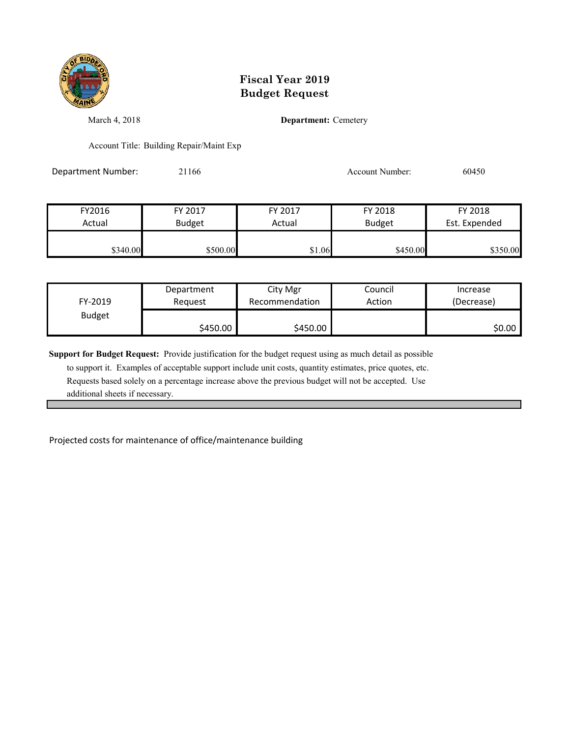

March 4, 2018 **Department:** Cemetery

Account Title: Building Repair/Maint Exp

Department Number: 21166 21166 Account Number: 60450

| FY2016   | FY 2017       | FY 2017 | FY 2018       | FY 2018       |
|----------|---------------|---------|---------------|---------------|
| Actual   | <b>Budget</b> | Actual  | <b>Budget</b> | Est. Expended |
| \$340.00 | \$500.00      | \$1.06  | \$450.00      | \$350.00      |

| FY-2019       | Department | City Mgr       | Council | Increase   |
|---------------|------------|----------------|---------|------------|
|               | Reguest    | Recommendation | Action  | (Decrease) |
| <b>Budget</b> | \$450.00   | \$450.00       |         | SO.OO I    |

**Support for Budget Request:** Provide justification for the budget request using as much detail as possible

 to support it. Examples of acceptable support include unit costs, quantity estimates, price quotes, etc. Requests based solely on a percentage increase above the previous budget will not be accepted. Use additional sheets if necessary.

Projected costs for maintenance of office/maintenance building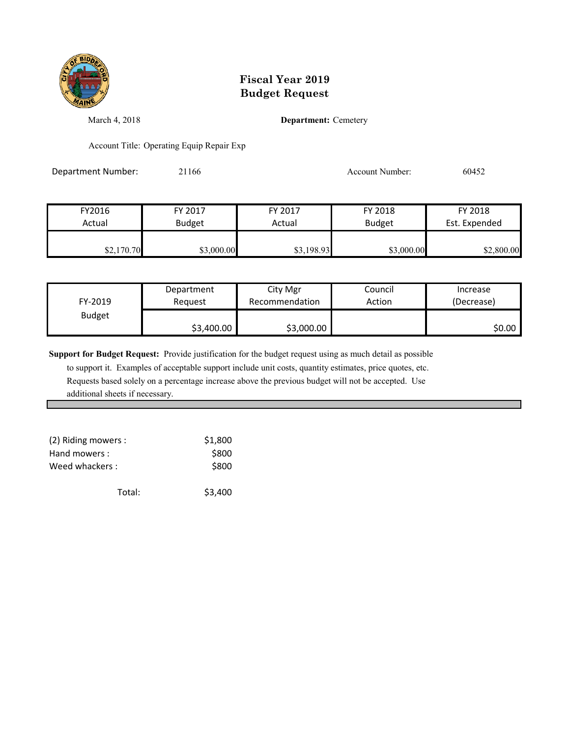

March 4, 2018 **Department:** Cemetery

Account Title: Operating Equip Repair Exp

Department Number: 21166 21166 Account Number: 60452

| FY2016     | FY 2017       | FY 2017    | FY 2018       | FY 2018       |
|------------|---------------|------------|---------------|---------------|
| Actual     | <b>Budget</b> | Actual     | <b>Budget</b> | Est. Expended |
|            |               |            |               |               |
| \$2,170.70 | \$3,000.00    | \$3,198.93 | \$3,000.00    | \$2,800.00    |

| FY-2019       | Department | City Mgr       | Council | Increase   |
|---------------|------------|----------------|---------|------------|
|               | Reguest    | Recommendation | Action  | (Decrease) |
| <b>Budget</b> | \$3,400.00 | \$3,000.00     |         | \$0.00 l   |

**Support for Budget Request:** Provide justification for the budget request using as much detail as possible

 to support it. Examples of acceptable support include unit costs, quantity estimates, price quotes, etc. Requests based solely on a percentage increase above the previous budget will not be accepted. Use additional sheets if necessary.

| (2) Riding mowers : | \$1,800 |
|---------------------|---------|
| Hand mowers:        | \$800   |
| Weed whackers:      | \$800   |
| Total:              | \$3,400 |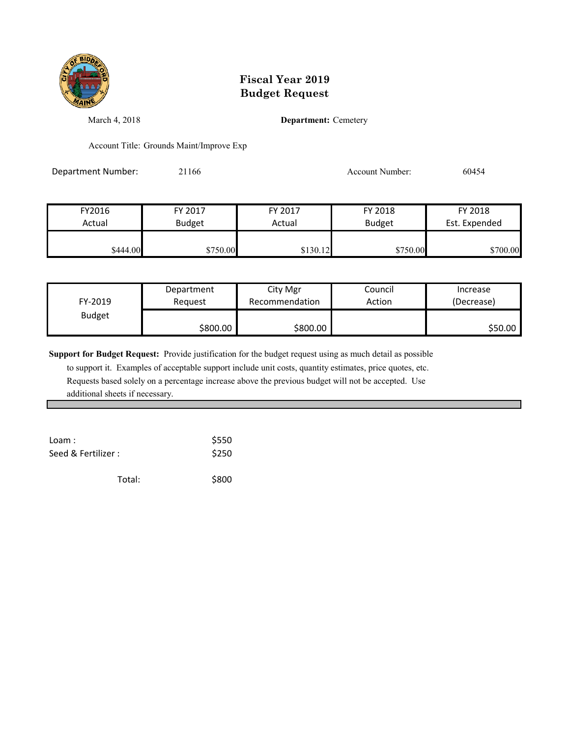

March 4, 2018 **Department:** Cemetery

Account Title: Grounds Maint/Improve Exp

| <b>Department Number:</b> | 21166 | Account Number: | 60454 |
|---------------------------|-------|-----------------|-------|
|                           |       |                 |       |

|                                              | FY2016 | FY 2017       | FY 2017 | FY 2018       | FY 2018       |
|----------------------------------------------|--------|---------------|---------|---------------|---------------|
|                                              | Actual | <b>Budget</b> | Actual  | <b>Budget</b> | Est. Expended |
| \$750.00<br>\$444.00<br>\$750.00<br>\$130.12 |        |               |         |               | \$700.00      |

| FY-2019       | Department | City Mgr       | Council | Increase   |
|---------------|------------|----------------|---------|------------|
|               | Reguest    | Recommendation | Action  | (Decrease) |
| <b>Budget</b> | \$800.00   | \$800.00       |         | \$50.00    |

**Support for Budget Request:** Provide justification for the budget request using as much detail as possible

 to support it. Examples of acceptable support include unit costs, quantity estimates, price quotes, etc. Requests based solely on a percentage increase above the previous budget will not be accepted. Use additional sheets if necessary.

| L <sub>o</sub> am: | \$550 |
|--------------------|-------|
| Seed & Fertilizer: | \$250 |
|                    |       |

Total: \$800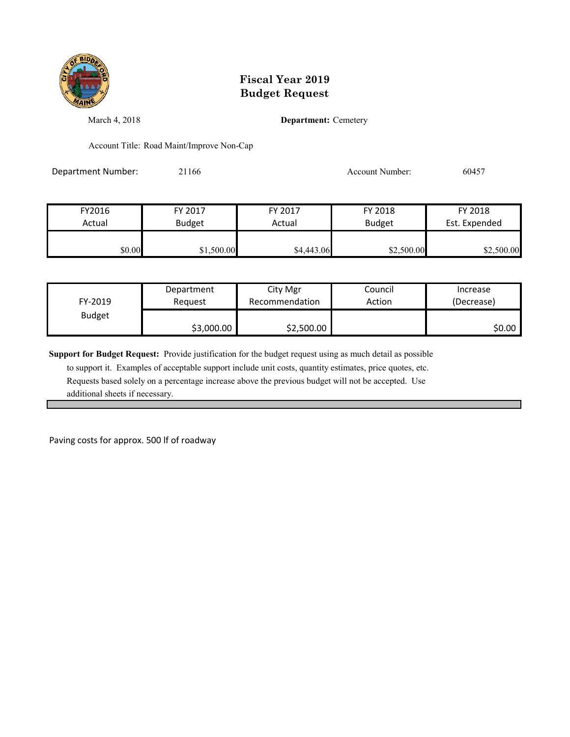

March 4, 2018 **Department:** Cemetery

Account Title: Road Maint/Improve Non-Cap

Department Number: 21166 21166 Account Number: 60457

| FY2016 | FY 2017       | FY 2017    | FY 2018       | FY 2018       |
|--------|---------------|------------|---------------|---------------|
| Actual | <b>Budget</b> | Actual     | <b>Budget</b> | Est. Expended |
|        |               |            |               |               |
| \$0.00 | \$1,500.00    | \$4,443.06 | \$2,500.00    | \$2,500.00    |

| FY-2019       | Department | City Mgr       | Council | Increase   |
|---------------|------------|----------------|---------|------------|
|               | Reauest    | Recommendation | Action  | (Decrease) |
| <b>Budget</b> | \$3,000.00 | \$2,500.00     |         | \$0.00 l   |

**Support for Budget Request:** Provide justification for the budget request using as much detail as possible

 to support it. Examples of acceptable support include unit costs, quantity estimates, price quotes, etc. Requests based solely on a percentage increase above the previous budget will not be accepted. Use additional sheets if necessary.

Paving costs for approx. 500 lf of roadway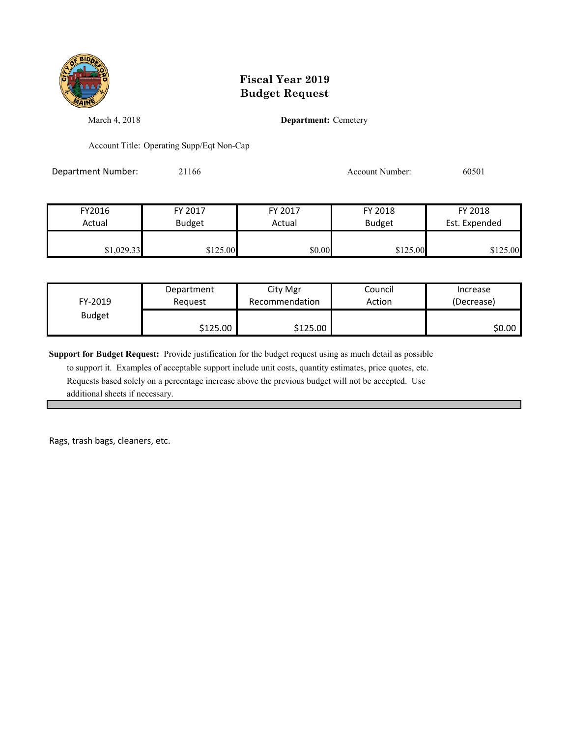

March 4, 2018 **Department:** Cemetery

Account Title: Operating Supp/Eqt Non-Cap

Department Number: 21166 21166 Account Number: 60501

| FY2016     | FY 2017       | FY 2017 | FY 2018       | FY 2018       |
|------------|---------------|---------|---------------|---------------|
| Actual     | <b>Budget</b> | Actual  | <b>Budget</b> | Est. Expended |
|            |               |         |               |               |
| \$1,029.33 | \$125.00      | \$0.00  | \$125.00      | \$125.00      |

| FY-2019       | Department | City Mgr       | Council | Increase   |
|---------------|------------|----------------|---------|------------|
|               | Reauest    | Recommendation | Action  | (Decrease) |
| <b>Budget</b> | \$125.00   | \$125.00       |         | \$0.00∣    |

**Support for Budget Request:** Provide justification for the budget request using as much detail as possible

 to support it. Examples of acceptable support include unit costs, quantity estimates, price quotes, etc. Requests based solely on a percentage increase above the previous budget will not be accepted. Use additional sheets if necessary.

Rags, trash bags, cleaners, etc.